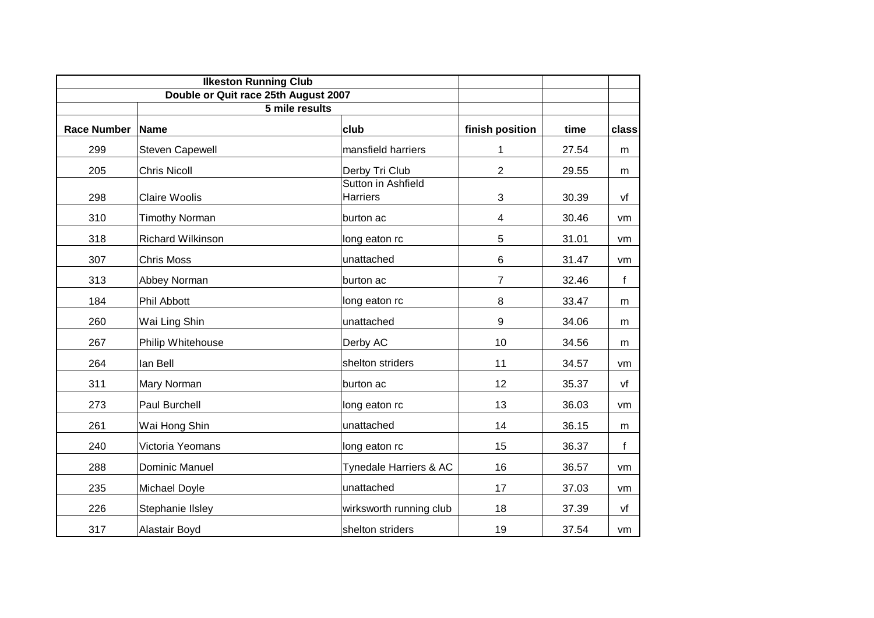|                    | <b>Ilkeston Running Club</b>                           |                                       |                  |       |       |  |
|--------------------|--------------------------------------------------------|---------------------------------------|------------------|-------|-------|--|
|                    | Double or Quit race 25th August 2007<br>5 mile results |                                       |                  |       |       |  |
| <b>Race Number</b> | <b>Name</b><br>club                                    |                                       | finish position  | time  | class |  |
| 299                | <b>Steven Capewell</b>                                 | mansfield harriers                    | 1                | 27.54 | m     |  |
| 205                | <b>Chris Nicoll</b>                                    | Derby Tri Club                        | $\overline{2}$   | 29.55 | m     |  |
| 298                | <b>Claire Woolis</b>                                   | Sutton in Ashfield<br><b>Harriers</b> | 3                | 30.39 | vf    |  |
| 310                | <b>Timothy Norman</b>                                  | burton ac                             | 4                | 30.46 | vm    |  |
| 318                | <b>Richard Wilkinson</b>                               | long eaton rc                         | 5                | 31.01 | vm    |  |
| 307                | <b>Chris Moss</b>                                      | unattached                            | 6                | 31.47 | vm    |  |
| 313                | Abbey Norman                                           | burton ac                             | 7                | 32.46 | f     |  |
| 184                | Phil Abbott                                            | long eaton rc                         | 8                | 33.47 | m     |  |
| 260                | Wai Ling Shin                                          | unattached                            | $\boldsymbol{9}$ | 34.06 | m     |  |
| 267                | Philip Whitehouse                                      | Derby AC                              | 10               | 34.56 | m     |  |
| 264                | lan Bell                                               | shelton striders                      | 11               | 34.57 | vm    |  |
| 311                | Mary Norman                                            | burton ac                             | 12               | 35.37 | vf    |  |
| 273                | Paul Burchell                                          | long eaton rc                         | 13               | 36.03 | vm    |  |
| 261                | Wai Hong Shin                                          | unattached                            | 14               | 36.15 | m     |  |
| 240                | Victoria Yeomans                                       | long eaton rc                         | 15               | 36.37 | f     |  |
| 288                | <b>Dominic Manuel</b>                                  | Tynedale Harriers & AC                | 16               | 36.57 | vm    |  |
| 235                | Michael Doyle                                          | unattached                            | 17               | 37.03 | vm    |  |
| 226                | Stephanie IIsley                                       | wirksworth running club               | 18               | 37.39 | vf    |  |
| 317                | Alastair Boyd                                          | shelton striders                      | 19               | 37.54 | vm    |  |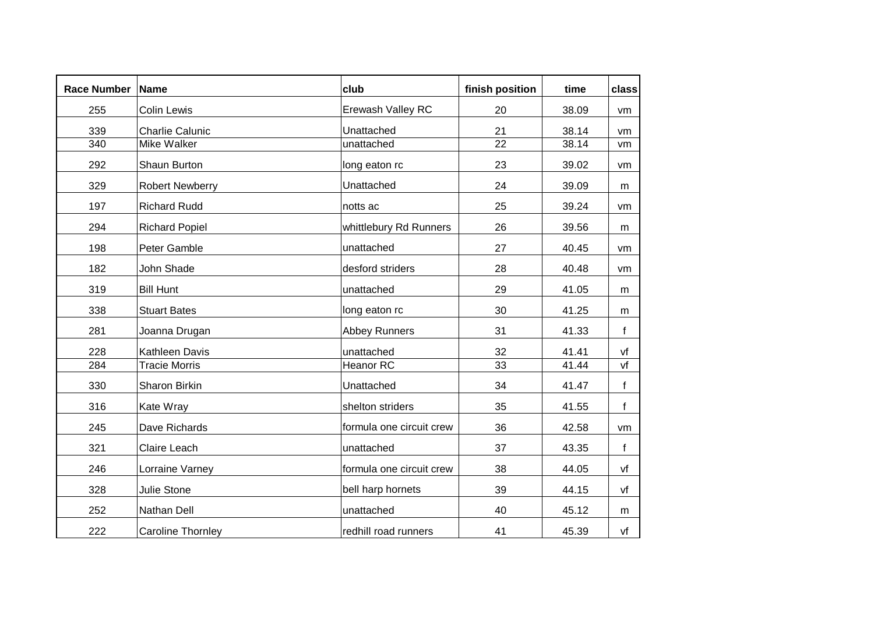| <b>Race Number</b> | <b>Name</b>              | $ $ club                 | finish position | time  | class        |  |
|--------------------|--------------------------|--------------------------|-----------------|-------|--------------|--|
| 255                | <b>Colin Lewis</b>       | Erewash Valley RC        | 20              | 38.09 | vm           |  |
| 339                | <b>Charlie Calunic</b>   | Unattached               | 21              | 38.14 | vm           |  |
| 340                | Mike Walker              | unattached               | 22              | 38.14 | vm           |  |
| 292                | Shaun Burton             | long eaton rc            | 23              | 39.02 | vm           |  |
| 329                | <b>Robert Newberry</b>   | Unattached               | 24              | 39.09 | m            |  |
| 197                | <b>Richard Rudd</b>      | notts ac                 | 25              | 39.24 | vm           |  |
| 294                | <b>Richard Popiel</b>    | whittlebury Rd Runners   | 26              | 39.56 | m            |  |
| 198                | Peter Gamble             | unattached               | 27              | 40.45 | vm           |  |
| 182                | John Shade               | desford striders         | 28              | 40.48 | vm           |  |
| 319                | <b>Bill Hunt</b>         | unattached               | 29              | 41.05 | m            |  |
| 338                | <b>Stuart Bates</b>      | long eaton rc            | 30              | 41.25 | m            |  |
| 281                | Joanna Drugan            | <b>Abbey Runners</b>     | 31              | 41.33 | f            |  |
| 228                | Kathleen Davis           | unattached               | 32              | 41.41 | vf           |  |
| 284                | <b>Tracie Morris</b>     | Heanor RC                | 33              | 41.44 | vf           |  |
| 330                | Sharon Birkin            | Unattached               | 34              | 41.47 | $\mathsf{f}$ |  |
| 316                | Kate Wray                | shelton striders         | 35              | 41.55 | f            |  |
| 245                | Dave Richards            | formula one circuit crew | 36              | 42.58 | vm           |  |
| 321                | Claire Leach             | unattached               | 37              | 43.35 | f            |  |
| 246                | Lorraine Varney          | formula one circuit crew | 38              | 44.05 | vf           |  |
| 328                | <b>Julie Stone</b>       | bell harp hornets        | 39              | 44.15 | vf           |  |
| 252                | Nathan Dell              | unattached               | 40              | 45.12 | m            |  |
| 222                | <b>Caroline Thornley</b> | redhill road runners     | 41              | 45.39 | vf           |  |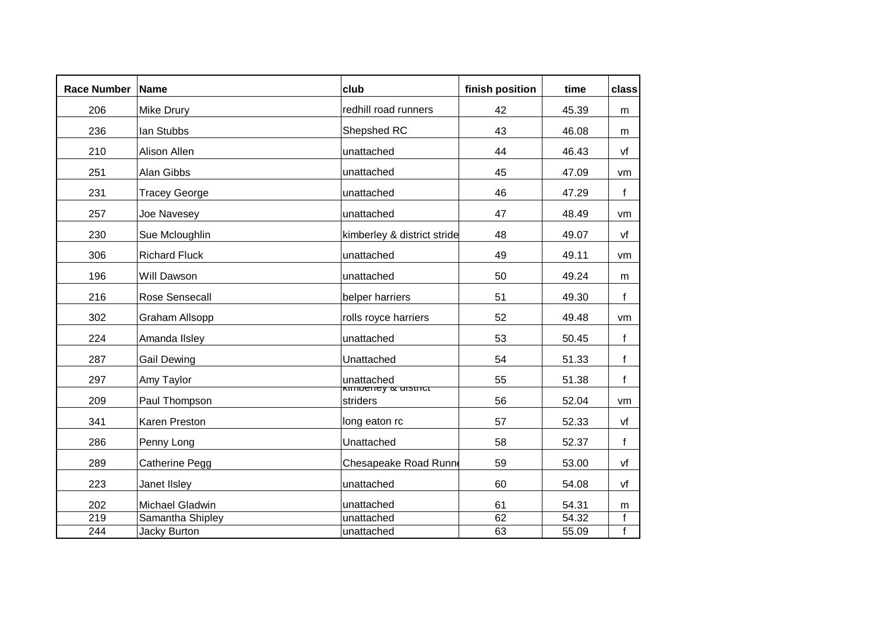| <b>Race Number</b> | Name                  | club                                         | finish position | time  | class        |
|--------------------|-----------------------|----------------------------------------------|-----------------|-------|--------------|
| 206                | Mike Drury            | redhill road runners                         | 42              | 45.39 | m            |
| 236                | lan Stubbs            | Shepshed RC                                  | 43              | 46.08 | m            |
| 210                | Alison Allen          | unattached                                   | 44              | 46.43 | vf           |
| 251                | Alan Gibbs            | unattached                                   | 45              | 47.09 | vm           |
| 231                | <b>Tracey George</b>  | unattached                                   | 46              | 47.29 | $\mathsf{f}$ |
| 257                | Joe Navesey           | unattached                                   | 47              | 48.49 | vm           |
| 230                | Sue Mcloughlin        | kimberley & district stride                  | 48              | 49.07 | vf           |
| 306                | <b>Richard Fluck</b>  | unattached                                   | 49              | 49.11 | vm           |
| 196                | Will Dawson           | unattached                                   | 50              | 49.24 | m            |
| 216                | Rose Sensecall        | belper harriers                              | 51              | 49.30 | f            |
| 302                | Graham Allsopp        | rolls royce harriers                         | 52              | 49.48 | vm           |
| 224                | Amanda IIsley         | unattached                                   | 53              | 50.45 | f            |
| 287                | <b>Gail Dewing</b>    | Unattached                                   | 54              | 51.33 | f            |
| 297                | Amy Taylor            | unattached                                   | 55              | 51.38 | f            |
| 209                | Paul Thompson         | <b>KITTDEITEY &amp; UISTTICT</b><br>striders | 56              | 52.04 | vm           |
| 341                | Karen Preston         | long eaton rc                                | 57              | 52.33 | vf           |
| 286                | Penny Long            | Unattached                                   | 58              | 52.37 | f            |
| 289                | <b>Catherine Pegg</b> | Chesapeake Road Runn                         | 59              | 53.00 | vf           |
| 223                | Janet IIsley          | unattached                                   | 60              | 54.08 | vf           |
| 202                | Michael Gladwin       | unattached                                   | 61              | 54.31 | m            |
| 219                | Samantha Shipley      | unattached                                   | 62              | 54.32 | f            |
| 244                | <b>Jacky Burton</b>   | unattached                                   | 63              | 55.09 | $\mathbf{f}$ |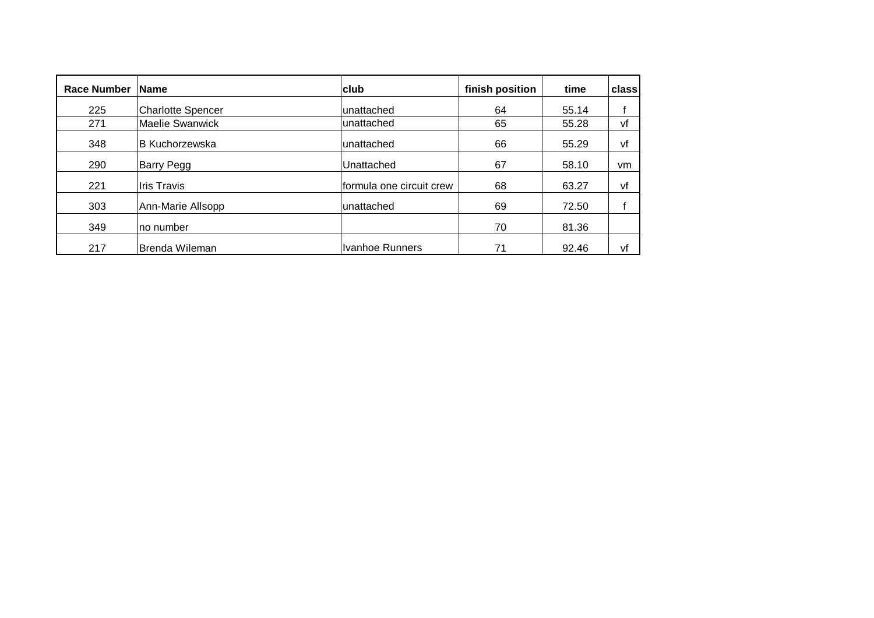| <b>Race Number</b> | <b>Name</b>              | club                     | finish position | time  | class     |
|--------------------|--------------------------|--------------------------|-----------------|-------|-----------|
| 225                | <b>Charlotte Spencer</b> | unattached               | 64              | 55.14 |           |
| 271                | Maelie Swanwick          | unattached               | 65              | 55.28 | vf        |
| 348                | <b>B</b> Kuchorzewska    | unattached               | 66              | 55.29 | vf        |
| 290                | Barry Pegg               | Unattached               | 67              | 58.10 | <b>vm</b> |
| 221                | Iris Travis              | formula one circuit crew | 68              | 63.27 | vf        |
| 303                | Ann-Marie Allsopp        | unattached               | 69              | 72.50 |           |
| 349                | ∣no number               |                          | 70              | 81.36 |           |
| 217                | Brenda Wileman           | Ivanhoe Runners          | 71              | 92.46 | vf        |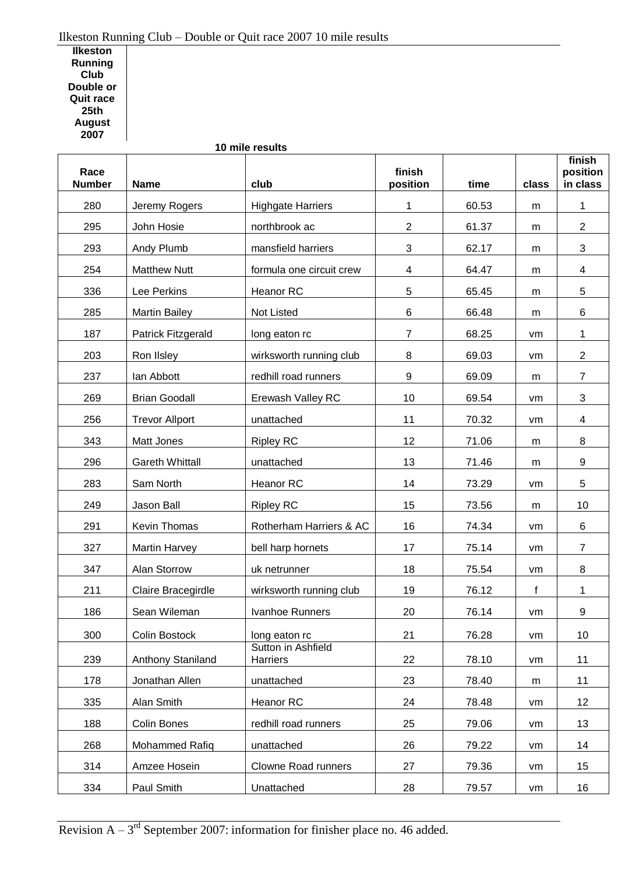## Ilkeston Running Club – Double or Quit race 2007 10 mile results

**Ilkeston Running Club Double or Quit race 25th August**  

|                       |                        | 10 mile results                       |                    |       |       |                                |
|-----------------------|------------------------|---------------------------------------|--------------------|-------|-------|--------------------------------|
| Race<br><b>Number</b> | <b>Name</b>            | club                                  | finish<br>position | time  | class | finish<br>position<br>in class |
| 280                   | Jeremy Rogers          | <b>Highgate Harriers</b>              | 1                  | 60.53 | m     | $\mathbf{1}$                   |
| 295                   | John Hosie             | northbrook ac                         | $\overline{c}$     | 61.37 | m     | $\overline{2}$                 |
| 293                   | Andy Plumb             | mansfield harriers                    | 3                  | 62.17 | m     | 3                              |
| 254                   | <b>Matthew Nutt</b>    | formula one circuit crew              | 4                  | 64.47 | m     | 4                              |
| 336                   | Lee Perkins            | Heanor RC                             | 5                  | 65.45 | m     | 5                              |
| 285                   | <b>Martin Bailey</b>   | Not Listed                            | 6                  | 66.48 | m     | 6                              |
| 187                   | Patrick Fitzgerald     | long eaton rc                         | $\overline{7}$     | 68.25 | vm    | 1                              |
| 203                   | Ron IIsley             | wirksworth running club               | 8                  | 69.03 | vm    | $\mathbf{2}$                   |
| 237                   | lan Abbott             | redhill road runners                  | 9                  | 69.09 | m     | $\overline{7}$                 |
| 269                   | <b>Brian Goodall</b>   | Erewash Valley RC                     | 10                 | 69.54 | vm    | 3                              |
| 256                   | <b>Trevor Allport</b>  | unattached                            | 11                 | 70.32 | vm    | 4                              |
| 343                   | Matt Jones             | <b>Ripley RC</b>                      | 12                 | 71.06 | m     | 8                              |
| 296                   | <b>Gareth Whittall</b> | unattached                            | 13                 | 71.46 | m     | 9                              |
| 283                   | Sam North              | Heanor RC                             | 14                 | 73.29 | vm    | 5                              |
| 249                   | Jason Ball             | <b>Ripley RC</b>                      | 15                 | 73.56 | m     | 10                             |
| 291                   | Kevin Thomas           | Rotherham Harriers & AC               | 16                 | 74.34 | vm    | 6                              |
| 327                   | <b>Martin Harvey</b>   | bell harp hornets                     | 17                 | 75.14 | vm    | $\overline{7}$                 |
| 347                   | Alan Storrow           | uk netrunner                          | 18                 | 75.54 | vm    | 8                              |
| 211                   | Claire Bracegirdle     | wirksworth running club               | 19                 | 76.12 | f     | 1                              |
| 186                   | Sean Wileman           | Ivanhoe Runners                       | 20                 | 76.14 | vm    | 9                              |
| 300                   | Colin Bostock          | long eaton rc                         | 21                 | 76.28 | vm    | 10                             |
| 239                   | Anthony Staniland      | Sutton in Ashfield<br><b>Harriers</b> | 22                 | 78.10 | vm    | 11                             |
| 178                   | Jonathan Allen         | unattached                            | 23                 | 78.40 | m     | 11                             |
| 335                   | Alan Smith             | Heanor RC                             | 24                 | 78.48 | vm    | 12                             |
| 188                   | <b>Colin Bones</b>     | redhill road runners                  | 25                 | 79.06 | vm    | 13                             |
| 268                   | Mohammed Rafiq         | unattached                            | 26                 | 79.22 | vm    | 14                             |
| 314                   | Amzee Hosein           | Clowne Road runners                   | 27                 | 79.36 | vm    | 15                             |
| 334                   | Paul Smith             | Unattached                            | 28                 | 79.57 | vm    | 16                             |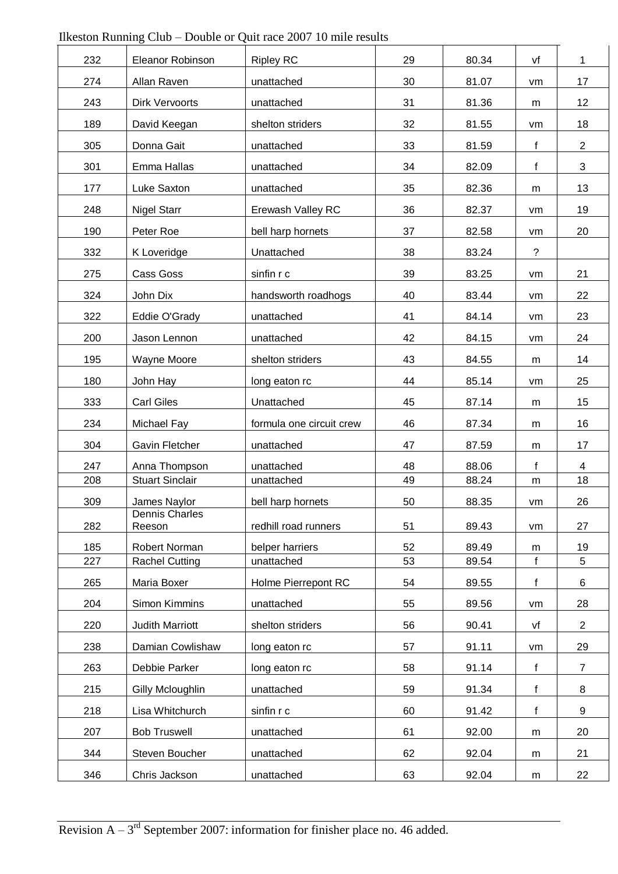| 232 | Eleanor Robinson         | <b>Ripley RC</b>         | 29 | 80.34 | vf             | 1              |
|-----|--------------------------|--------------------------|----|-------|----------------|----------------|
| 274 | Allan Raven              | unattached               | 30 | 81.07 | vm             | 17             |
| 243 | <b>Dirk Vervoorts</b>    | unattached               | 31 | 81.36 | m              | 12             |
| 189 | David Keegan             | shelton striders         | 32 | 81.55 | vm             | 18             |
| 305 | Donna Gait               | unattached               | 33 | 81.59 | $\mathbf f$    | $\overline{2}$ |
| 301 | Emma Hallas              | unattached               | 34 | 82.09 | f              | 3              |
| 177 | Luke Saxton              | unattached               | 35 | 82.36 | m              | 13             |
| 248 | <b>Nigel Starr</b>       | Erewash Valley RC        | 36 | 82.37 | vm             | 19             |
| 190 | Peter Roe                | bell harp hornets        | 37 | 82.58 | vm             | 20             |
| 332 | K Loveridge              | Unattached               | 38 | 83.24 | $\overline{?}$ |                |
| 275 | Cass Goss                | sinfin r c               | 39 | 83.25 | vm             | 21             |
| 324 | John Dix                 | handsworth roadhogs      | 40 | 83.44 | vm             | 22             |
| 322 | Eddie O'Grady            | unattached               | 41 | 84.14 | vm             | 23             |
| 200 | Jason Lennon             | unattached               | 42 | 84.15 | vm             | 24             |
| 195 | Wayne Moore              | shelton striders         | 43 | 84.55 | m              | 14             |
| 180 | John Hay                 | long eaton rc            | 44 | 85.14 | vm             | 25             |
| 333 | <b>Carl Giles</b>        | Unattached               | 45 | 87.14 | m              | 15             |
| 234 | Michael Fay              | formula one circuit crew | 46 | 87.34 | m              | 16             |
| 304 | Gavin Fletcher           | unattached               | 47 | 87.59 | m              | 17             |
| 247 | Anna Thompson            | unattached               | 48 | 88.06 | $\mathbf f$    | 4              |
| 208 | <b>Stuart Sinclair</b>   | unattached               | 49 | 88.24 | m              | 18             |
| 309 | James Naylor             | bell harp hornets        | 50 | 88.35 | vm             | 26             |
| 282 | Dennis Charles<br>Reeson | redhill road runners     | 51 | 89.43 | vm             | 27             |
| 185 | Robert Norman            | belper harriers          | 52 | 89.49 | m              | 19             |
| 227 | <b>Rachel Cutting</b>    | unattached               | 53 | 89.54 | $\mathbf{f}$   | 5              |
| 265 | Maria Boxer              | Holme Pierrepont RC      | 54 | 89.55 | f              | 6              |
| 204 | Simon Kimmins            | unattached               | 55 | 89.56 | vm             | 28             |
| 220 | <b>Judith Marriott</b>   | shelton striders         | 56 | 90.41 | vf             | $\overline{2}$ |
| 238 | Damian Cowlishaw         | long eaton rc            | 57 | 91.11 | vm             | 29             |
| 263 | Debbie Parker            | long eaton rc            | 58 | 91.14 | f              | $\overline{7}$ |
| 215 | Gilly Mcloughlin         | unattached               | 59 | 91.34 | f              | 8              |
| 218 | Lisa Whitchurch          | sinfin r c               | 60 | 91.42 | $\mathbf f$    | 9              |
| 207 | <b>Bob Truswell</b>      | unattached               | 61 | 92.00 | m              | 20             |
| 344 | Steven Boucher           | unattached               | 62 | 92.04 | m              | 21             |
| 346 | Chris Jackson            | unattached               | 63 | 92.04 | m              | 22             |

|  |  |  |  |  |  | Ilkeston Running Club – Double or Quit race 2007 10 mile results |
|--|--|--|--|--|--|------------------------------------------------------------------|
|--|--|--|--|--|--|------------------------------------------------------------------|